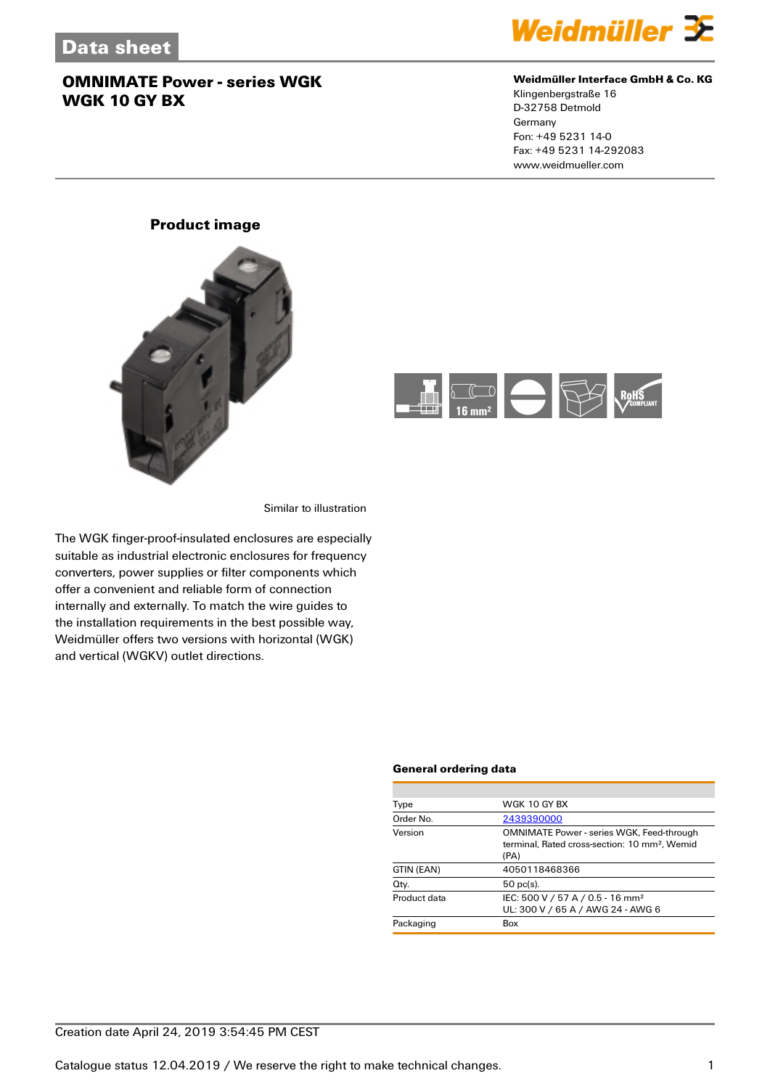

### **Weidmüller Interface GmbH & Co. KG**

Klingenbergstraße 16 D-32758 Detmold Germany Fon: +49 5231 14-0 Fax: +49 5231 14-292083 www.weidmueller.com

### **Product image**





Similar to illustration

The WGK finger-proof-insulated enclosures are especially suitable as industrial electronic enclosures for frequency converters, power supplies or filter components which offer a convenient and reliable form of connection internally and externally. To match the wire guides to the installation requirements in the best possible way, Weidmüller offers two versions with horizontal (WGK) and vertical (WGKV) outlet directions.

#### **General ordering data**

| Type         | WGK 10 GY BX                                                                                                          |
|--------------|-----------------------------------------------------------------------------------------------------------------------|
| Order No.    | 2439390000                                                                                                            |
| Version      | <b>OMNIMATE Power - series WGK, Feed-through</b><br>terminal, Rated cross-section: 10 mm <sup>2</sup> , Wemid<br>(PA) |
| GTIN (EAN)   | 4050118468366                                                                                                         |
| Qty.         | $50$ pc(s).                                                                                                           |
| Product data | IEC: 500 V / 57 A / 0.5 - 16 mm <sup>2</sup><br>UL: 300 V / 65 A / AWG 24 - AWG 6                                     |
| Packaging    | Box                                                                                                                   |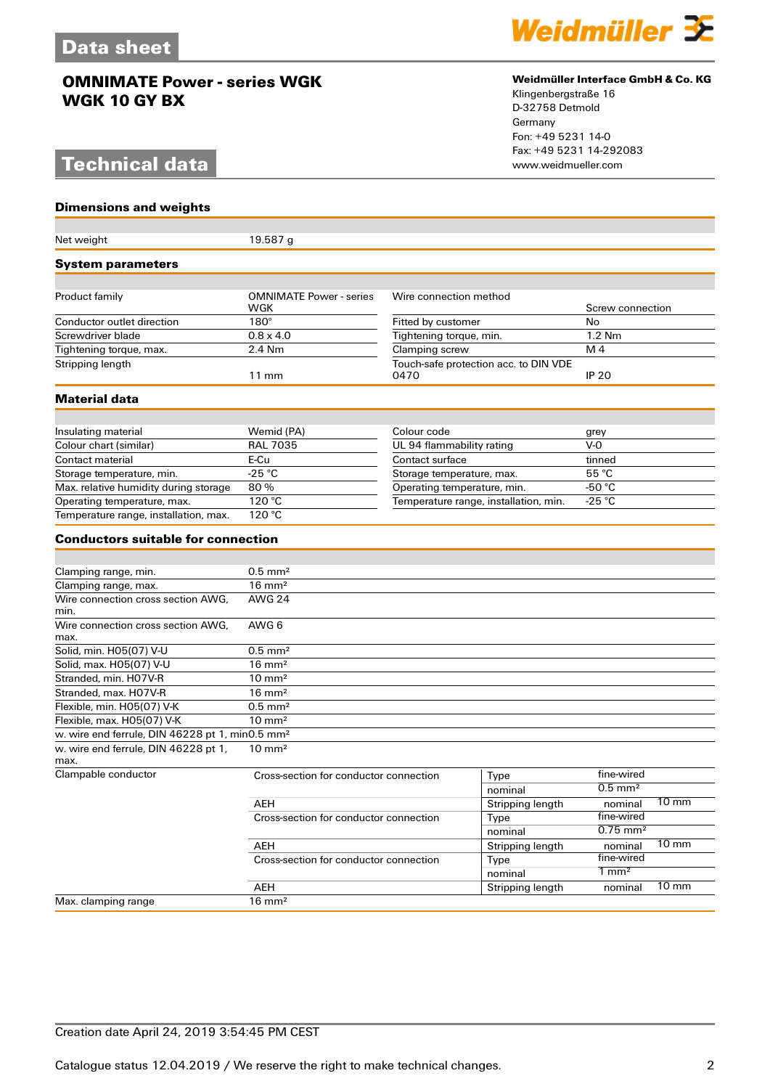# **Technical data**

**Dimensions and weights**



#### **Weidmüller Interface GmbH & Co. KG**

Klingenbergstraße 16 D-32758 Detmold Germany Fon: +49 5231 14-0 Fax: +49 5231 14-292083

| Net weight                                                  | 19.587g                                       |                                               |                         |                        |                 |
|-------------------------------------------------------------|-----------------------------------------------|-----------------------------------------------|-------------------------|------------------------|-----------------|
| <b>System parameters</b>                                    |                                               |                                               |                         |                        |                 |
|                                                             |                                               |                                               |                         |                        |                 |
| Product family                                              | <b>OMNIMATE Power - series</b><br>WGK         | Wire connection method                        |                         | Screw connection       |                 |
| Conductor outlet direction                                  | $180^\circ$                                   | Fitted by customer                            |                         | No                     |                 |
| Screwdriver blade                                           | $0.8 \times 4.0$                              | Tightening torque, min.                       |                         | 1.2 Nm                 |                 |
| Tightening torque, max.                                     | 2.4 Nm                                        | Clamping screw                                |                         | M 4                    |                 |
| Stripping length                                            | $11 \text{ mm}$                               | Touch-safe protection acc. to DIN VDE<br>0470 |                         | <b>IP 20</b>           |                 |
| <b>Material data</b>                                        |                                               |                                               |                         |                        |                 |
|                                                             |                                               |                                               |                         |                        |                 |
| Insulating material                                         | Wemid (PA)                                    | Colour code                                   |                         | grey                   |                 |
| Colour chart (similar)                                      | <b>RAL 7035</b>                               | UL 94 flammability rating                     |                         | $V-0$                  |                 |
| Contact material                                            | E-Cu                                          | Contact surface                               |                         | tinned                 |                 |
| Storage temperature, min.                                   | $-25$ °C                                      | Storage temperature, max.                     |                         | 55 °C                  |                 |
| Max. relative humidity during storage                       | 80%                                           | Operating temperature, min.                   |                         | -50 $°C$               |                 |
| Operating temperature, max.                                 | 120 °C                                        | Temperature range, installation, min.         |                         | $-25 °C$               |                 |
| Temperature range, installation, max.                       | 120 °C                                        |                                               |                         |                        |                 |
| <b>Conductors suitable for connection</b>                   |                                               |                                               |                         |                        |                 |
|                                                             |                                               |                                               |                         |                        |                 |
| Clamping range, min.                                        | $0.5$ mm <sup>2</sup>                         |                                               |                         |                        |                 |
| Clamping range, max.                                        | $16 \text{ mm}^2$                             |                                               |                         |                        |                 |
| Wire connection cross section AWG,<br>min.                  | <b>AWG 24</b>                                 |                                               |                         |                        |                 |
| Wire connection cross section AWG.<br>max.                  | AWG 6                                         |                                               |                         |                        |                 |
| Solid, min. H05(07) V-U                                     | $0.5$ mm <sup>2</sup>                         |                                               |                         |                        |                 |
| Solid, max. H05(07) V-U                                     | $16 \text{ mm}^2$                             |                                               |                         |                        |                 |
| Stranded, min. H07V-R                                       | $10 \text{ mm}^2$                             |                                               |                         |                        |                 |
| Stranded, max. H07V-R                                       | $16 \text{ mm}^2$                             |                                               |                         |                        |                 |
| Flexible, min. H05(07) V-K                                  | $\overline{0.5}$ mm <sup>2</sup>              |                                               |                         |                        |                 |
| Flexible, max. H05(07) V-K                                  | $10 \text{ mm}^2$                             |                                               |                         |                        |                 |
| w. wire end ferrule, DIN 46228 pt 1, min0.5 mm <sup>2</sup> |                                               |                                               |                         |                        |                 |
| w. wire end ferrule, DIN 46228 pt 1,<br>max.                | $10 \text{ mm}^2$                             |                                               |                         |                        |                 |
| Clampable conductor                                         | Cross-section for conductor connection        |                                               | Type                    | fine-wired             |                 |
|                                                             |                                               |                                               | nominal                 | $0.5$ mm <sup>2</sup>  |                 |
|                                                             | AEH                                           |                                               | <b>Stripping length</b> | nominal                | 10 mm           |
|                                                             | Cross-section for conductor connection<br>AEH |                                               | Type                    | fine-wired             |                 |
|                                                             |                                               |                                               | nominal                 | $0.75$ mm <sup>2</sup> |                 |
|                                                             |                                               |                                               | Stripping length        | nominal                | $10 \text{ mm}$ |
|                                                             | Cross-section for conductor connection        |                                               | Type                    | fine-wired             |                 |
|                                                             |                                               |                                               | nominal                 | $1 \text{ mm}^2$       |                 |
|                                                             | AEH                                           |                                               |                         | nominal                | $10 \text{ mm}$ |
| Max. clamping range                                         | $16 \text{ mm}^2$                             |                                               | Stripping length        |                        |                 |
|                                                             |                                               |                                               |                         |                        |                 |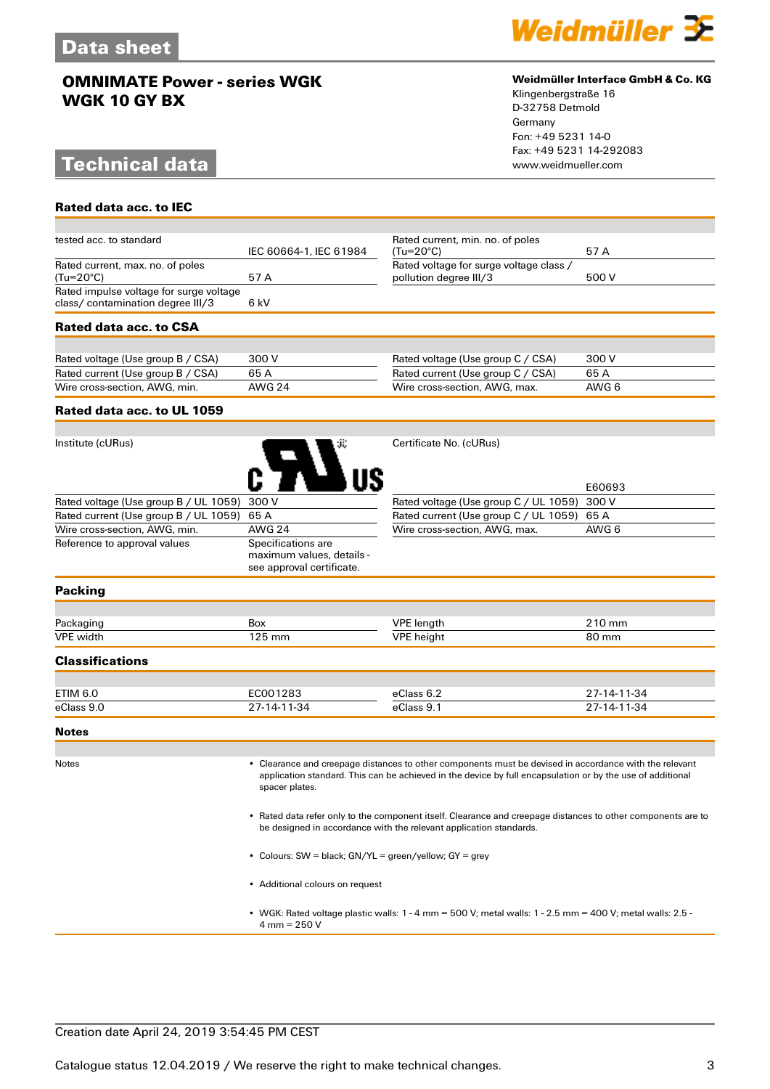# **Technical data**

**Rated data acc. to IEC**



### **Weidmüller Interface GmbH & Co. KG**

Klingenbergstraße 16 D-32758 Detmold Germany Fon: +49 5231 14-0 Fax: +49 5231 14-292083

| tested acc. to standard                                                      | IEC 60664-1, IEC 61984                                                       | Rated current, min. no. of poles<br>(Tu=20°C) | 57 A        |  |
|------------------------------------------------------------------------------|------------------------------------------------------------------------------|-----------------------------------------------|-------------|--|
| Rated current, max. no. of poles                                             |                                                                              | Rated voltage for surge voltage class /       |             |  |
| $(Tu=20^{\circ}C)$                                                           | 57 A                                                                         | pollution degree III/3                        |             |  |
| Rated impulse voltage for surge voltage<br>class/ contamination degree III/3 | 6 kV                                                                         |                                               |             |  |
| <b>Rated data acc. to CSA</b>                                                |                                                                              |                                               |             |  |
|                                                                              |                                                                              |                                               |             |  |
| Rated voltage (Use group B / CSA)                                            | 300 V                                                                        | Rated voltage (Use group C / CSA)             | 300 V       |  |
| Rated current (Use group B / CSA)                                            | 65A                                                                          | Rated current (Use group C / CSA)             | 65 A        |  |
| Wire cross-section, AWG, min.                                                | <b>AWG 24</b>                                                                | Wire cross-section, AWG, max.                 | AWG 6       |  |
| Rated data acc. to UL 1059                                                   |                                                                              |                                               |             |  |
|                                                                              |                                                                              |                                               |             |  |
| Institute (cURus)                                                            |                                                                              | Certificate No. (cURus)                       | E60693      |  |
| Rated voltage (Use group B / UL 1059)                                        | 300 V                                                                        | Rated voltage (Use group C / UL 1059)         | 300 V       |  |
| Rated current (Use group B / UL 1059)                                        | 65 A                                                                         | Rated current (Use group C / UL 1059)         | 65 A        |  |
| Wire cross-section, AWG, min.                                                | <b>AWG 24</b>                                                                | Wire cross-section, AWG, max.                 | AWG 6       |  |
| Reference to approval values                                                 | Specifications are<br>maximum values, details -<br>see approval certificate. |                                               |             |  |
| <b>Packing</b>                                                               |                                                                              |                                               |             |  |
|                                                                              |                                                                              |                                               |             |  |
| Packaging                                                                    | <b>Box</b>                                                                   | <b>VPE</b> length                             | 210 mm      |  |
| <b>VPE</b> width                                                             | 125 mm                                                                       | <b>VPE</b> height                             | 80 mm       |  |
| <b>Classifications</b>                                                       |                                                                              |                                               |             |  |
|                                                                              |                                                                              |                                               |             |  |
| <b>ETIM 6.0</b>                                                              | EC001283                                                                     | eClass 6.2                                    | 27-14-11-34 |  |
| eClass 9.0                                                                   | 27-14-11-34                                                                  | eClass 9.1                                    | 27-14-11-34 |  |
| <b>Notes</b>                                                                 |                                                                              |                                               |             |  |
|                                                                              |                                                                              |                                               |             |  |

Notes • Clearance and creepage distances to other components must be devised in accordance with the relevant application standard. This can be achieved in the device by full encapsulation or by the use of additional spacer plates.

> • Rated data refer only to the component itself. Clearance and creepage distances to other components are to be designed in accordance with the relevant application standards.

• Colours: SW = black; GN/YL = green/yellow; GY = grey

• Additional colours on request

• WGK: Rated voltage plastic walls: 1 - 4 mm = 500 V; metal walls: 1 - 2.5 mm = 400 V; metal walls: 2.5 - 4 mm = 250 V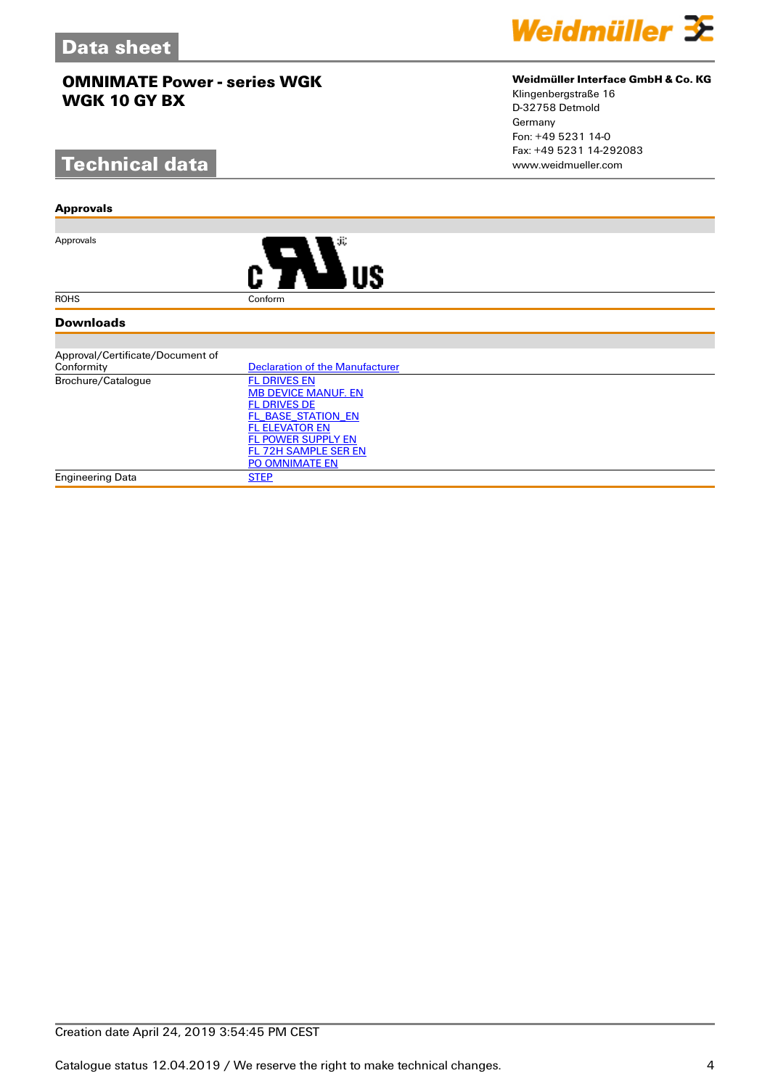# **Technical data**

#### **Approvals**

Approvals



#### **Downloads**

| Approval/Certificate/Document of |                                 |
|----------------------------------|---------------------------------|
| Conformity                       | Declaration of the Manufacturer |
| Brochure/Catalogue               | <b>FL DRIVES EN</b>             |
|                                  | <b>MB DEVICE MANUF. EN</b>      |
|                                  | <b>FL DRIVES DE</b>             |
|                                  | FL BASE STATION EN              |
|                                  | <b>FL ELEVATOR EN</b>           |
|                                  | <b>FL POWER SUPPLY EN</b>       |
|                                  | FL 72H SAMPLE SER EN            |
|                                  | <b>PO OMNIMATE EN</b>           |
| Engineering Data                 | <b>STEP</b>                     |

### **Weidmüller Interface GmbH & Co. KG**

Klingenbergstraße 16 D-32758 Detmold Germany Fon: +49 5231 14-0 Fax: +49 5231 14-292083